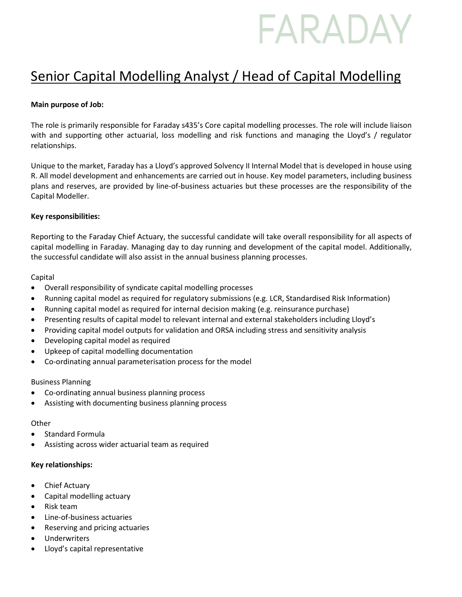# FARADAY

# Senior Capital Modelling Analyst / Head of Capital Modelling

# **Main purpose of Job:**

The role is primarily responsible for Faraday s435's Core capital modelling processes. The role will include liaison with and supporting other actuarial, loss modelling and risk functions and managing the Lloyd's / regulator relationships.

Unique to the market, Faraday has a Lloyd's approved Solvency II Internal Model that is developed in house using R. All model development and enhancements are carried out in house. Key model parameters, including business plans and reserves, are provided by line-of-business actuaries but these processes are the responsibility of the Capital Modeller.

### **Key responsibilities:**

Reporting to the Faraday Chief Actuary, the successful candidate will take overall responsibility for all aspects of capital modelling in Faraday. Managing day to day running and development of the capital model. Additionally, the successful candidate will also assist in the annual business planning processes.

# Capital

- Overall responsibility of syndicate capital modelling processes
- Running capital model as required for regulatory submissions (e.g. LCR, Standardised Risk Information)
- Running capital model as required for internal decision making (e.g. reinsurance purchase)
- Presenting results of capital model to relevant internal and external stakeholders including Lloyd's
- Providing capital model outputs for validation and ORSA including stress and sensitivity analysis
- Developing capital model as required
- Upkeep of capital modelling documentation
- Co-ordinating annual parameterisation process for the model

### Business Planning

- Co-ordinating annual business planning process
- Assisting with documenting business planning process

### **Other**

- Standard Formula
- Assisting across wider actuarial team as required

### **Key relationships:**

- Chief Actuary
- Capital modelling actuary
- Risk team
- Line-of-business actuaries
- Reserving and pricing actuaries
- Underwriters
- Lloyd's capital representative